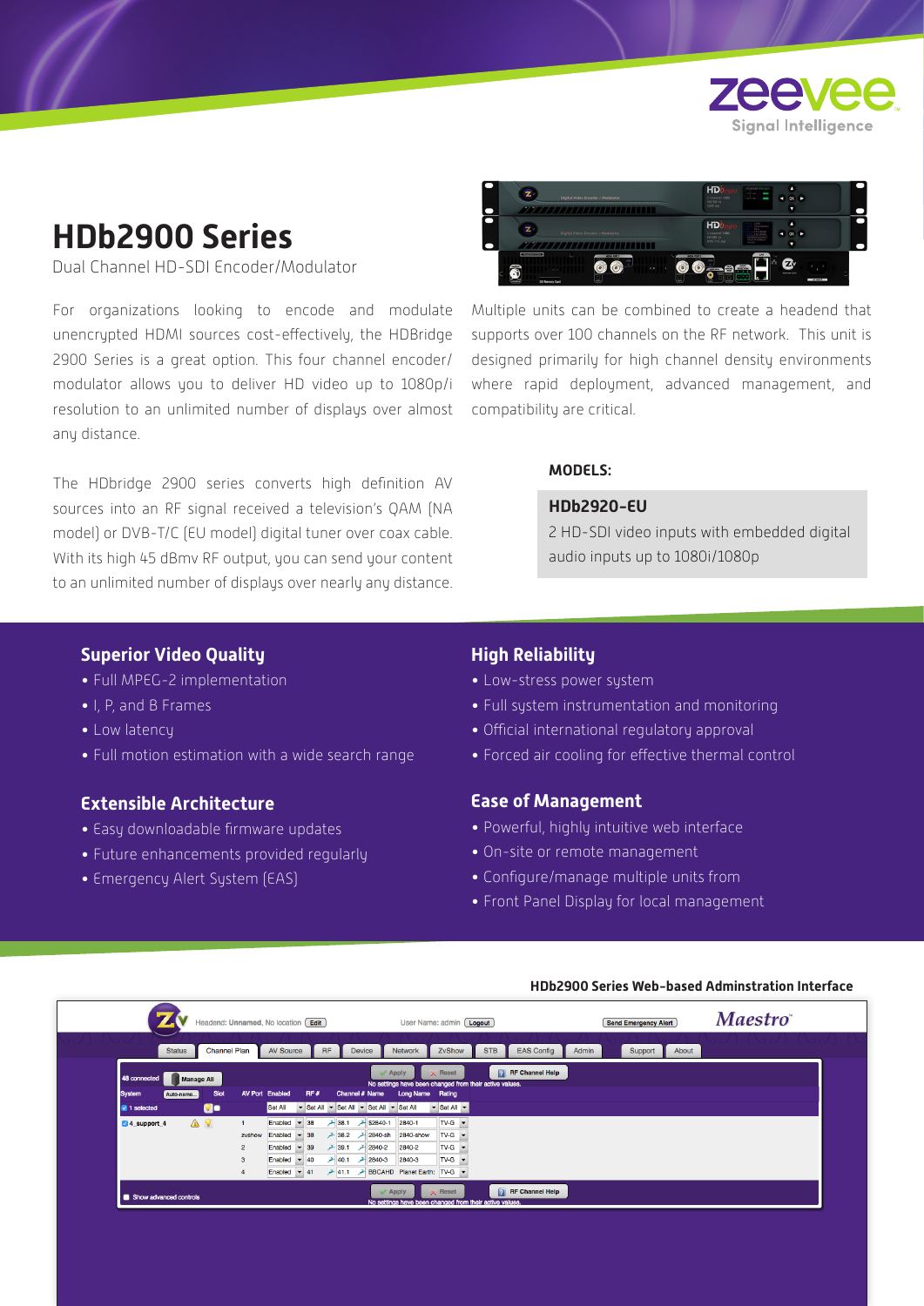

# **HDb2900 Series**

Dual Channel HD-SDI Encoder/Modulator

For organizations looking to encode and modulate unencrypted HDMI sources cost-effectively, the HDBridge 2900 Series is a great option. This four channel encoder/ modulator allows you to deliver HD video up to 1080p/i resolution to an unlimited number of displays over almost any distance.

The HDbridge 2900 series converts high definition AV sources into an RF signal received a television's QAM (NA model) or DVB-T/C (EU model) digital tuner over coax cable. With its high 45 dBmv RF output, you can send your content to an unlimited number of displays over nearly any distance.



Multiple units can be combined to create a headend that supports over 100 channels on the RF network. This unit is designed primarily for high channel density environments where rapid deployment, advanced management, and compatibility are critical.

### **MODELS:**

#### **HDb2920-EU**

2 HD-SDI video inputs with embedded digital audio inputs up to 1080i/1080p

# **Superior Video Quality**

- Full MPEG-2 implementation
- I, P, and B Frames
- Low latency
- Full motion estimation with a wide search range

# **Extensible Architecture**

- Easy downloadable firmware updates
- Future enhancements provided regularly
- Emergency Alert System (EAS)

# **High Reliability**

- Low-stress power system
- Full system instrumentation and monitoring
- Official international regulatory approval
- Forced air cooling for effective thermal control

#### **Ease of Management**

- Powerful, highly intuitive web interface
- On-site or remote management
- Configure/manage multiple units from
- Front Panel Display for local management

#### **HDb2900 Series Web-based Adminstration Interface**

|                                                                                                                                                                                        | Headend: Unnamed, No location Edit |                                      |                                      |                                               | User Name: admin [ Logout                                                  |                                 | <b>Send Emergency Alert</b> | <b>Maestro</b> |
|----------------------------------------------------------------------------------------------------------------------------------------------------------------------------------------|------------------------------------|--------------------------------------|--------------------------------------|-----------------------------------------------|----------------------------------------------------------------------------|---------------------------------|-----------------------------|----------------|
| <b>Status</b>                                                                                                                                                                          | <b>Channel Plan</b>                | <b>AV Source</b>                     | <b>RF</b>                            | Device                                        | ZvShow<br><b>Network</b>                                                   | <b>STB</b><br><b>EAS Config</b> | Support<br>Admin<br>About   |                |
| <b>RF</b> Channel Help<br>$\times$ Reset<br>$\mathcal$ Apply<br>48 connected<br><b>Manage All</b><br>No settings have been changed from their active values.<br><b>AV Port Enabled</b> |                                    |                                      |                                      |                                               |                                                                            |                                 |                             |                |
| <b>System</b><br>Auto-name<br>1 selected                                                                                                                                               | Slot<br>00                         | Set All                              | RF#<br>$\blacktriangleright$ Set All | Channel # Name<br>Set All v Set All v Set All | Long Name Rating<br>$\blacktriangleright$ Set All $\blacktriangleright$    |                                 |                             |                |
| △♀<br>4 support 4                                                                                                                                                                      | zvshow                             | Enabled<br>$-38$<br>Enabled<br>$-38$ |                                      | → 38.1 → \$2840-1<br><b>→ 38.2 → 2840-sh</b>  | $TV-G$ $\rightarrow$<br>2840-1<br>$TV-G$ $\rightarrow$<br>2840-show        |                                 |                             |                |
|                                                                                                                                                                                        | $\overline{2}$<br>з                | Enabled<br>$-39$<br>Enabled<br>$-40$ |                                      | $-39.1$ $-2840-2$<br>$+ 40.1 + 2840 - 3$      | $TV-G$ $\rightarrow$<br>2840-2<br><b>TV-G</b><br>2840-3                    |                                 |                             |                |
|                                                                                                                                                                                        |                                    | Enabled $\blacktriangledown$ 41      |                                      |                                               | → 41.1 → BBCAHD Planet Earth: TV-G ▼<br>$\times$ Reset<br>$\mathcal$ Apply | <b>RF</b> Channel Help          |                             |                |
| Show advanced controls                                                                                                                                                                 |                                    |                                      |                                      |                                               | No settings have been changed from their active values.                    |                                 |                             |                |